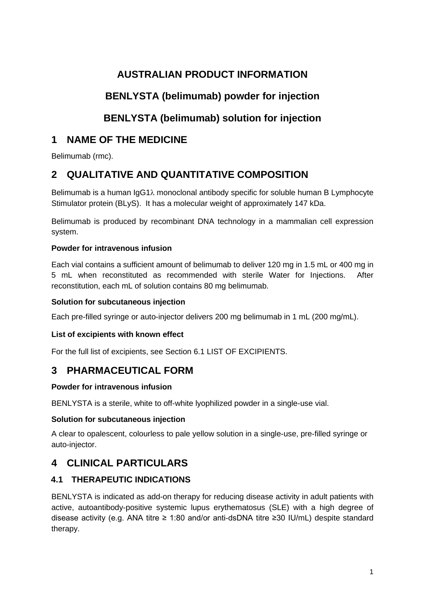# **AUSTRALIAN PRODUCT INFORMATION**

# **BENLYSTA (belimumab) powder for injection**

# **BENLYSTA (belimumab) solution for injection**

# **1 NAME OF THE MEDICINE**

Belimumab (rmc).

# **2 QUALITATIVE AND QUANTITATIVE COMPOSITION**

Belimumab is a human IgG1λ monoclonal antibody specific for soluble human B Lymphocyte Stimulator protein (BLyS). It has a molecular weight of approximately 147 kDa.

Belimumab is produced by recombinant DNA technology in a mammalian cell expression system.

# **Powder for intravenous infusion**

Each vial contains a sufficient amount of belimumab to deliver 120 mg in 1.5 mL or 400 mg in 5 mL when reconstituted as recommended with sterile Water for Injections. After reconstitution, each mL of solution contains 80 mg belimumab.

# **Solution for subcutaneous injection**

Each pre-filled syringe or auto-injector delivers 200 mg belimumab in 1 mL (200 mg/mL).

# **List of excipients with known effect**

For the full list of excipients, see Section 6.1 LIST OF EXCIPIENTS.

# **3 PHARMACEUTICAL FORM**

# **Powder for intravenous infusion**

BENLYSTA is a sterile, white to off-white lyophilized powder in a single-use vial.

# **Solution for subcutaneous injection**

A clear to opalescent, colourless to pale yellow solution in a single-use, pre-filled syringe or auto-injector.

# **4 CLINICAL PARTICULARS**

# **4.1 THERAPEUTIC INDICATIONS**

BENLYSTA is indicated as add-on therapy for reducing disease activity in adult patients with active, autoantibody-positive systemic lupus erythematosus (SLE) with a high degree of disease activity (e.g. ANA titre ≥ 1:80 and/or anti-dsDNA titre ≥30 IU/mL) despite standard therapy.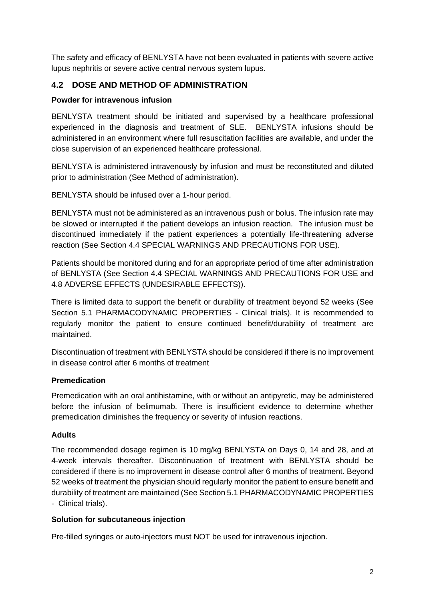The safety and efficacy of BENLYSTA have not been evaluated in patients with severe active lupus nephritis or severe active central nervous system lupus.

## **4.2 DOSE AND METHOD OF ADMINISTRATION**

#### **Powder for intravenous infusion**

BENLYSTA treatment should be initiated and supervised by a healthcare professional experienced in the diagnosis and treatment of SLE. BENLYSTA infusions should be administered in an environment where full resuscitation facilities are available, and under the close supervision of an experienced healthcare professional.

BENLYSTA is administered intravenously by infusion and must be reconstituted and diluted prior to administration (See Method of administration).

BENLYSTA should be infused over a 1-hour period.

BENLYSTA must not be administered as an intravenous push or bolus. The infusion rate may be slowed or interrupted if the patient develops an infusion reaction. The infusion must be discontinued immediately if the patient experiences a potentially life-threatening adverse reaction (See Section 4.4 SPECIAL WARNINGS AND PRECAUTIONS FOR USE).

Patients should be monitored during and for an appropriate period of time after administration of BENLYSTA (See Section 4.4 SPECIAL WARNINGS AND PRECAUTIONS FOR USE and 4.8 ADVERSE EFFECTS (UNDESIRABLE EFFECTS)).

There is limited data to support the benefit or durability of treatment beyond 52 weeks (See Section 5.1 PHARMACODYNAMIC PROPERTIES - Clinical trials). It is recommended to regularly monitor the patient to ensure continued benefit/durability of treatment are maintained.

Discontinuation of treatment with BENLYSTA should be considered if there is no improvement in disease control after 6 months of treatment

#### **Premedication**

Premedication with an oral antihistamine, with or without an antipyretic, may be administered before the infusion of belimumab. There is insufficient evidence to determine whether premedication diminishes the frequency or severity of infusion reactions.

#### **Adults**

The recommended dosage regimen is 10 mg/kg BENLYSTA on Days 0, 14 and 28, and at 4-week intervals thereafter. Discontinuation of treatment with BENLYSTA should be considered if there is no improvement in disease control after 6 months of treatment. Beyond 52 weeks of treatment the physician should regularly monitor the patient to ensure benefit and durability of treatment are maintained (See Section 5.1 PHARMACODYNAMIC PROPERTIES - Clinical trials).

#### **Solution for subcutaneous injection**

Pre-filled syringes or auto-injectors must NOT be used for intravenous injection.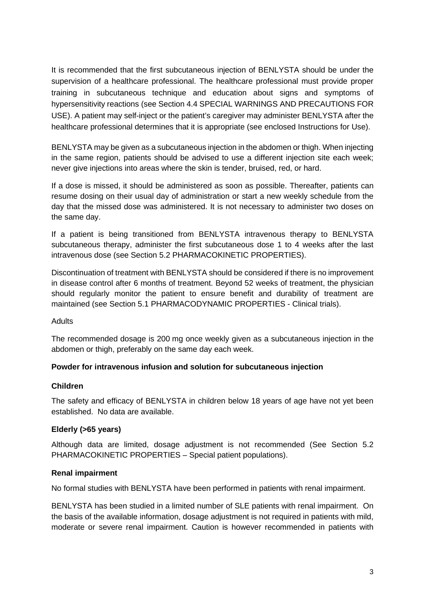It is recommended that the first subcutaneous injection of BENLYSTA should be under the supervision of a healthcare professional. The healthcare professional must provide proper training in subcutaneous technique and education about signs and symptoms of hypersensitivity reactions (see Section 4.4 SPECIAL WARNINGS AND PRECAUTIONS FOR USE). A patient may self-inject or the patient's caregiver may administer BENLYSTA after the healthcare professional determines that it is appropriate (see enclosed Instructions for Use).

BENLYSTA may be given as a subcutaneous injection in the abdomen or thigh. When injecting in the same region, patients should be advised to use a different injection site each week; never give injections into areas where the skin is tender, bruised, red, or hard.

If a dose is missed, it should be administered as soon as possible. Thereafter, patients can resume dosing on their usual day of administration or start a new weekly schedule from the day that the missed dose was administered. It is not necessary to administer two doses on the same day.

If a patient is being transitioned from BENLYSTA intravenous therapy to BENLYSTA subcutaneous therapy, administer the first subcutaneous dose 1 to 4 weeks after the last intravenous dose (see Section 5.2 PHARMACOKINETIC PROPERTIES).

Discontinuation of treatment with BENLYSTA should be considered if there is no improvement in disease control after 6 months of treatment. Beyond 52 weeks of treatment, the physician should regularly monitor the patient to ensure benefit and durability of treatment are maintained (see Section 5.1 PHARMACODYNAMIC PROPERTIES - Clinical trials).

## Adults

The recommended dosage is 200 mg once weekly given as a subcutaneous injection in the abdomen or thigh, preferably on the same day each week.

## **Powder for intravenous infusion and solution for subcutaneous injection**

#### **Children**

The safety and efficacy of BENLYSTA in children below 18 years of age have not yet been established. No data are available.

## **Elderly (>65 years)**

Although data are limited, dosage adjustment is not recommended (See Section 5.2 PHARMACOKINETIC PROPERTIES – Special patient populations).

#### **Renal impairment**

No formal studies with BENLYSTA have been performed in patients with renal impairment.

BENLYSTA has been studied in a limited number of SLE patients with renal impairment. On the basis of the available information, dosage adjustment is not required in patients with mild, moderate or severe renal impairment. Caution is however recommended in patients with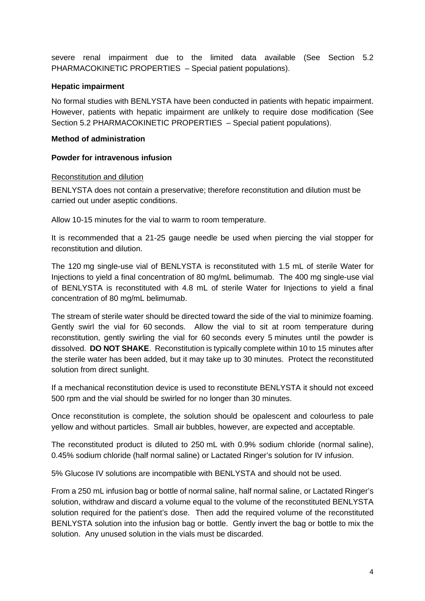severe renal impairment due to the limited data available (See Section 5.2 PHARMACOKINETIC PROPERTIES *–* Special patient populations).

#### **Hepatic impairment**

No formal studies with BENLYSTA have been conducted in patients with hepatic impairment. However, patients with hepatic impairment are unlikely to require dose modification (See Section 5.2 PHARMACOKINETIC PROPERTIES *–* Special patient populations).

#### **Method of administration**

#### **Powder for intravenous infusion**

#### Reconstitution and dilution

BENLYSTA does not contain a preservative; therefore reconstitution and dilution must be carried out under aseptic conditions.

Allow 10-15 minutes for the vial to warm to room temperature.

It is recommended that a 21-25 gauge needle be used when piercing the vial stopper for reconstitution and dilution.

The 120 mg single-use vial of BENLYSTA is reconstituted with 1.5 mL of sterile Water for Injections to yield a final concentration of 80 mg/mL belimumab. The 400 mg single-use vial of BENLYSTA is reconstituted with 4.8 mL of sterile Water for Injections to yield a final concentration of 80 mg/mL belimumab.

The stream of sterile water should be directed toward the side of the vial to minimize foaming. Gently swirl the vial for 60 seconds. Allow the vial to sit at room temperature during reconstitution, gently swirling the vial for 60 seconds every 5 minutes until the powder is dissolved. **DO NOT SHAKE**. Reconstitution is typically complete within 10 to 15 minutes after the sterile water has been added, but it may take up to 30 minutes. Protect the reconstituted solution from direct sunlight.

If a mechanical reconstitution device is used to reconstitute BENLYSTA it should not exceed 500 rpm and the vial should be swirled for no longer than 30 minutes.

Once reconstitution is complete, the solution should be opalescent and colourless to pale yellow and without particles. Small air bubbles, however, are expected and acceptable.

The reconstituted product is diluted to 250 mL with 0.9% sodium chloride (normal saline), 0.45% sodium chloride (half normal saline) or Lactated Ringer's solution for IV infusion.

5% Glucose IV solutions are incompatible with BENLYSTA and should not be used.

From a 250 mL infusion bag or bottle of normal saline, half normal saline, or Lactated Ringer's solution, withdraw and discard a volume equal to the volume of the reconstituted BENLYSTA solution required for the patient's dose. Then add the required volume of the reconstituted BENLYSTA solution into the infusion bag or bottle. Gently invert the bag or bottle to mix the solution. Any unused solution in the vials must be discarded.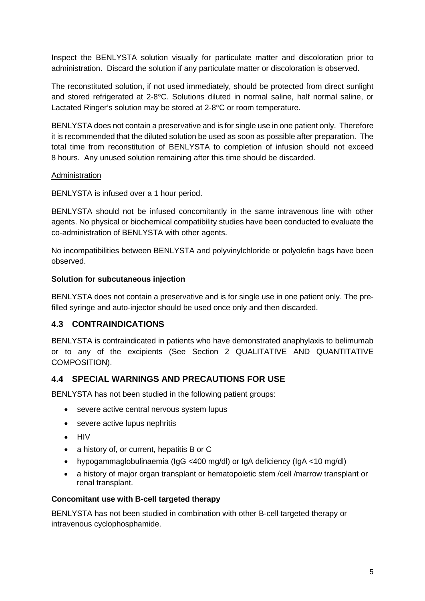Inspect the BENLYSTA solution visually for particulate matter and discoloration prior to administration. Discard the solution if any particulate matter or discoloration is observed.

The reconstituted solution, if not used immediately, should be protected from direct sunlight and stored refrigerated at 2-8°C. Solutions diluted in normal saline, half normal saline, or Lactated Ringer's solution may be stored at 2-8°C or room temperature.

BENLYSTA does not contain a preservative and is for single use in one patient only. Therefore it is recommended that the diluted solution be used as soon as possible after preparation. The total time from reconstitution of BENLYSTA to completion of infusion should not exceed 8 hours. Any unused solution remaining after this time should be discarded.

#### Administration

BENLYSTA is infused over a 1 hour period.

BENLYSTA should not be infused concomitantly in the same intravenous line with other agents. No physical or biochemical compatibility studies have been conducted to evaluate the co-administration of BENLYSTA with other agents.

No incompatibilities between BENLYSTA and polyvinylchloride or polyolefin bags have been observed.

## **Solution for subcutaneous injection**

BENLYSTA does not contain a preservative and is for single use in one patient only. The prefilled syringe and auto-injector should be used once only and then discarded.

# **4.3 CONTRAINDICATIONS**

BENLYSTA is contraindicated in patients who have demonstrated anaphylaxis to belimumab or to any of the excipients (See Section 2 QUALITATIVE AND QUANTITATIVE COMPOSITION).

## **4.4 SPECIAL WARNINGS AND PRECAUTIONS FOR USE**

BENLYSTA has not been studied in the following patient groups:

- severe active central nervous system lupus
- severe active lupus nephritis
- HIV
- a history of, or current, hepatitis B or C
- hypogammaglobulinaemia (IgG <400 mg/dl) or IgA deficiency (IgA <10 mg/dl)
- a history of major organ transplant or hematopoietic stem /cell /marrow transplant or renal transplant.

#### **Concomitant use with B-cell targeted therapy**

BENLYSTA has not been studied in combination with other B-cell targeted therapy or intravenous cyclophosphamide.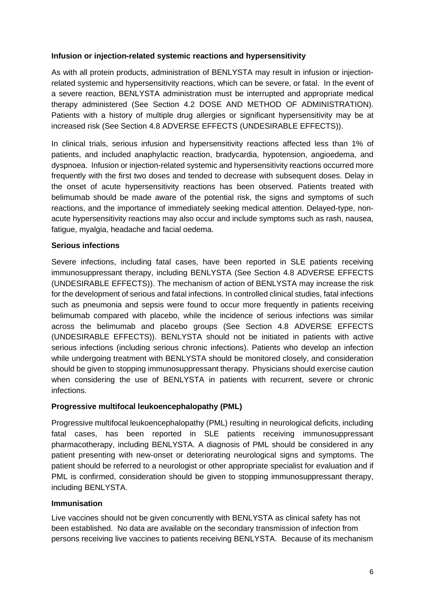#### **Infusion or injection-related systemic reactions and hypersensitivity**

As with all protein products, administration of BENLYSTA may result in infusion or injectionrelated systemic and hypersensitivity reactions, which can be severe, or fatal. In the event of a severe reaction, BENLYSTA administration must be interrupted and appropriate medical therapy administered (See Section 4.2 DOSE AND METHOD OF ADMINISTRATION). Patients with a history of multiple drug allergies or significant hypersensitivity may be at increased risk (See Section 4.8 ADVERSE EFFECTS (UNDESIRABLE EFFECTS)).

In clinical trials, serious infusion and hypersensitivity reactions affected less than 1% of patients, and included anaphylactic reaction, bradycardia, hypotension, angioedema, and dyspnoea. Infusion or injection-related systemic and hypersensitivity reactions occurred more frequently with the first two doses and tended to decrease with subsequent doses. Delay in the onset of acute hypersensitivity reactions has been observed. Patients treated with belimumab should be made aware of the potential risk, the signs and symptoms of such reactions, and the importance of immediately seeking medical attention. Delayed-type, nonacute hypersensitivity reactions may also occur and include symptoms such as rash, nausea, fatigue, myalgia, headache and facial oedema.

## **Serious infections**

Severe infections, including fatal cases, have been reported in SLE patients receiving immunosuppressant therapy, including BENLYSTA (See Section 4.8 ADVERSE EFFECTS (UNDESIRABLE EFFECTS)). The mechanism of action of BENLYSTA may increase the risk for the development of serious and fatal infections. In controlled clinical studies, fatal infections such as pneumonia and sepsis were found to occur more frequently in patients receiving belimumab compared with placebo, while the incidence of serious infections was similar across the belimumab and placebo groups (See Section 4.8 ADVERSE EFFECTS (UNDESIRABLE EFFECTS)). BENLYSTA should not be initiated in patients with active serious infections (including serious chronic infections). Patients who develop an infection while undergoing treatment with BENLYSTA should be monitored closely, and consideration should be given to stopping immunosuppressant therapy. Physicians should exercise caution when considering the use of BENLYSTA in patients with recurrent, severe or chronic infections.

#### **Progressive multifocal leukoencephalopathy (PML)**

Progressive multifocal leukoencephalopathy (PML) resulting in neurological deficits, including fatal cases, has been reported in SLE patients receiving immunosuppressant pharmacotherapy, including BENLYSTA. A diagnosis of PML should be considered in any patient presenting with new-onset or deteriorating neurological signs and symptoms. The patient should be referred to a neurologist or other appropriate specialist for evaluation and if PML is confirmed, consideration should be given to stopping immunosuppressant therapy, including BENLYSTA.

#### **Immunisation**

Live vaccines should not be given concurrently with BENLYSTA as clinical safety has not been established. No data are available on the secondary transmission of infection from persons receiving live vaccines to patients receiving BENLYSTA. Because of its mechanism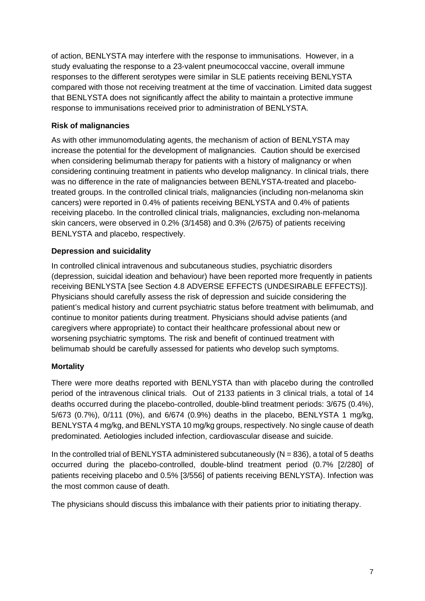of action, BENLYSTA may interfere with the response to immunisations. However, in a study evaluating the response to a 23-valent pneumococcal vaccine, overall immune responses to the different serotypes were similar in SLE patients receiving BENLYSTA compared with those not receiving treatment at the time of vaccination. Limited data suggest that BENLYSTA does not significantly affect the ability to maintain a protective immune response to immunisations received prior to administration of BENLYSTA.

## **Risk of malignancies**

As with other immunomodulating agents, the mechanism of action of BENLYSTA may increase the potential for the development of malignancies. Caution should be exercised when considering belimumab therapy for patients with a history of malignancy or when considering continuing treatment in patients who develop malignancy. In clinical trials, there was no difference in the rate of malignancies between BENLYSTA-treated and placebotreated groups. In the controlled clinical trials, malignancies (including non-melanoma skin cancers) were reported in 0.4% of patients receiving BENLYSTA and 0.4% of patients receiving placebo. In the controlled clinical trials, malignancies, excluding non-melanoma skin cancers, were observed in 0.2% (3/1458) and 0.3% (2/675) of patients receiving BENLYSTA and placebo, respectively.

## **Depression and suicidality**

In controlled clinical intravenous and subcutaneous studies, psychiatric disorders (depression, suicidal ideation and behaviour) have been reported more frequently in patients receiving BENLYSTA [see Section 4.8 ADVERSE EFFECTS (UNDESIRABLE EFFECTS)]. Physicians should carefully assess the risk of depression and suicide considering the patient's medical history and current psychiatric status before treatment with belimumab, and continue to monitor patients during treatment. Physicians should advise patients (and caregivers where appropriate) to contact their healthcare professional about new or worsening psychiatric symptoms. The risk and benefit of continued treatment with belimumab should be carefully assessed for patients who develop such symptoms.

## **Mortality**

There were more deaths reported with BENLYSTA than with placebo during the controlled period of the intravenous clinical trials. Out of 2133 patients in 3 clinical trials, a total of 14 deaths occurred during the placebo-controlled, double-blind treatment periods: 3/675 (0.4%), 5/673 (0.7%), 0/111 (0%), and 6/674 (0.9%) deaths in the placebo, BENLYSTA 1 mg/kg, BENLYSTA 4 mg/kg, and BENLYSTA 10 mg/kg groups, respectively. No single cause of death predominated. Aetiologies included infection, cardiovascular disease and suicide.

In the controlled trial of BENLYSTA administered subcutaneously ( $N = 836$ ), a total of 5 deaths occurred during the placebo-controlled, double-blind treatment period (0.7% [2/280] of patients receiving placebo and 0.5% [3/556] of patients receiving BENLYSTA). Infection was the most common cause of death.

The physicians should discuss this imbalance with their patients prior to initiating therapy.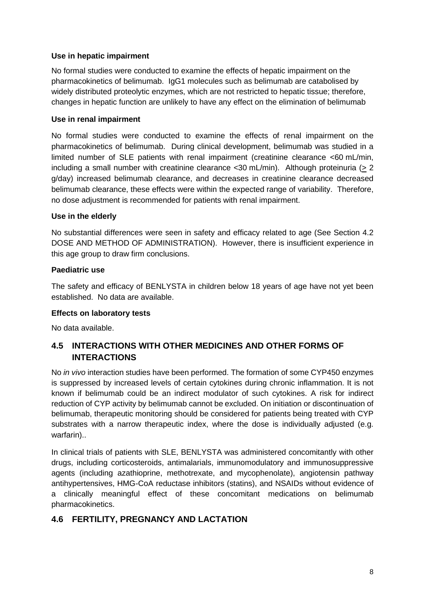### **Use in hepatic impairment**

No formal studies were conducted to examine the effects of hepatic impairment on the pharmacokinetics of belimumab. IgG1 molecules such as belimumab are catabolised by widely distributed proteolytic enzymes, which are not restricted to hepatic tissue; therefore, changes in hepatic function are unlikely to have any effect on the elimination of belimumab

### **Use in renal impairment**

No formal studies were conducted to examine the effects of renal impairment on the pharmacokinetics of belimumab. During clinical development, belimumab was studied in a limited number of SLE patients with renal impairment (creatinine clearance <60 mL/min, including a small number with creatinine clearance  $\langle 30 \text{ mL/min} \rangle$ . Although proteinuria ( $> 2$ g/day) increased belimumab clearance, and decreases in creatinine clearance decreased belimumab clearance, these effects were within the expected range of variability. Therefore, no dose adjustment is recommended for patients with renal impairment.

#### **Use in the elderly**

No substantial differences were seen in safety and efficacy related to age (See Section 4.2 DOSE AND METHOD OF ADMINISTRATION). However, there is insufficient experience in this age group to draw firm conclusions.

#### **Paediatric use**

The safety and efficacy of BENLYSTA in children below 18 years of age have not yet been established. No data are available.

#### **Effects on laboratory tests**

No data available.

# **4.5 INTERACTIONS WITH OTHER MEDICINES AND OTHER FORMS OF INTERACTIONS**

No *in vivo* interaction studies have been performed. The formation of some CYP450 enzymes is suppressed by increased levels of certain cytokines during chronic inflammation. It is not known if belimumab could be an indirect modulator of such cytokines. A risk for indirect reduction of CYP activity by belimumab cannot be excluded. On initiation or discontinuation of belimumab, therapeutic monitoring should be considered for patients being treated with CYP substrates with a narrow therapeutic index, where the dose is individually adjusted (e.g. warfarin)..

In clinical trials of patients with SLE, BENLYSTA was administered concomitantly with other drugs, including corticosteroids, antimalarials, immunomodulatory and immunosuppressive agents (including azathioprine, methotrexate, and mycophenolate), angiotensin pathway antihypertensives, HMG-CoA reductase inhibitors (statins), and NSAIDs without evidence of a clinically meaningful effect of these concomitant medications on belimumab pharmacokinetics.

# **4.6 FERTILITY, PREGNANCY AND LACTATION**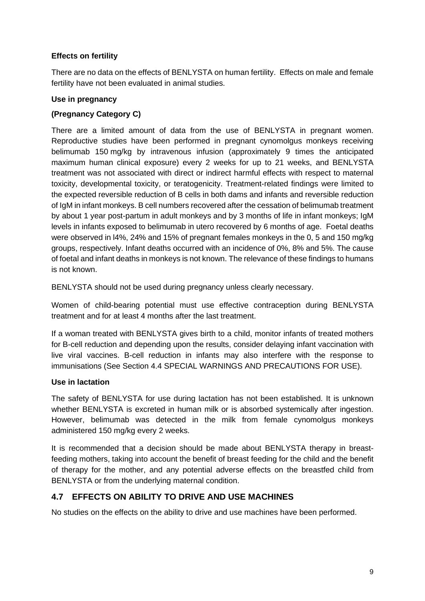## **Effects on fertility**

There are no data on the effects of BENLYSTA on human fertility. Effects on male and female fertility have not been evaluated in animal studies.

## **Use in pregnancy**

## **(Pregnancy Category C)**

There are a limited amount of data from the use of BENLYSTA in pregnant women. Reproductive studies have been performed in pregnant cynomolgus monkeys receiving belimumab 150 mg/kg by intravenous infusion (approximately 9 times the anticipated maximum human clinical exposure) every 2 weeks for up to 21 weeks, and BENLYSTA treatment was not associated with direct or indirect harmful effects with respect to maternal toxicity, developmental toxicity, or teratogenicity. Treatment-related findings were limited to the expected reversible reduction of B cells in both dams and infants and reversible reduction of IgM in infant monkeys. B cell numbers recovered after the cessation of belimumab treatment by about 1 year post-partum in adult monkeys and by 3 months of life in infant monkeys; IgM levels in infants exposed to belimumab in utero recovered by 6 months of age. Foetal deaths were observed in l4%, 24% and 15% of pregnant females monkeys in the 0, 5 and 150 mg/kg groups, respectively. Infant deaths occurred with an incidence of 0%, 8% and 5%. The cause of foetal and infant deaths in monkeys is not known. The relevance of these findings to humans is not known.

BENLYSTA should not be used during pregnancy unless clearly necessary.

Women of child-bearing potential must use effective contraception during BENLYSTA treatment and for at least 4 months after the last treatment.

If a woman treated with BENLYSTA gives birth to a child, monitor infants of treated mothers for B-cell reduction and depending upon the results, consider delaying infant vaccination with live viral vaccines. B-cell reduction in infants may also interfere with the response to immunisations (See Section 4.4 SPECIAL WARNINGS AND PRECAUTIONS FOR USE).

## **Use in lactation**

The safety of BENLYSTA for use during lactation has not been established. It is unknown whether BENLYSTA is excreted in human milk or is absorbed systemically after ingestion. However, belimumab was detected in the milk from female cynomolgus monkeys administered 150 mg/kg every 2 weeks.

It is recommended that a decision should be made about BENLYSTA therapy in breastfeeding mothers, taking into account the benefit of breast feeding for the child and the benefit of therapy for the mother, and any potential adverse effects on the breastfed child from BENLYSTA or from the underlying maternal condition.

# **4.7 EFFECTS ON ABILITY TO DRIVE AND USE MACHINES**

No studies on the effects on the ability to drive and use machines have been performed.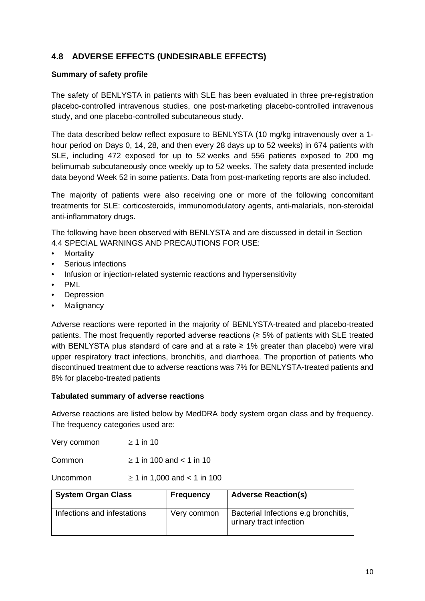# **4.8 ADVERSE EFFECTS (UNDESIRABLE EFFECTS)**

### **Summary of safety profile**

The safety of BENLYSTA in patients with SLE has been evaluated in three pre-registration placebo-controlled intravenous studies, one post-marketing placebo-controlled intravenous study, and one placebo-controlled subcutaneous study.

The data described below reflect exposure to BENLYSTA (10 mg/kg intravenously over a 1 hour period on Days 0, 14, 28, and then every 28 days up to 52 weeks) in 674 patients with SLE, including 472 exposed for up to 52 weeks and 556 patients exposed to 200 mg belimumab subcutaneously once weekly up to 52 weeks. The safety data presented include data beyond Week 52 in some patients. Data from post-marketing reports are also included.

The majority of patients were also receiving one or more of the following concomitant treatments for SLE: corticosteroids, immunomodulatory agents, anti-malarials, non-steroidal anti-inflammatory drugs.

The following have been observed with BENLYSTA and are discussed in detail in Section 4.4 SPECIAL WARNINGS AND PRECAUTIONS FOR USE:

- Mortality
- Serious infections
- Infusion or injection-related systemic reactions and hypersensitivity
- PML
- Depression
- **Malignancy**

Adverse reactions were reported in the majority of BENLYSTA-treated and placebo-treated patients. The most frequently reported adverse reactions (≥ 5% of patients with SLE treated with BENLYSTA plus standard of care and at a rate ≥ 1% greater than placebo) were viral upper respiratory tract infections, bronchitis, and diarrhoea. The proportion of patients who discontinued treatment due to adverse reactions was 7% for BENLYSTA-treated patients and 8% for placebo-treated patients

#### **Tabulated summary of adverse reactions**

Adverse reactions are listed below by MedDRA body system organ class and by frequency. The frequency categories used are:

Very common  $\geq 1$  in 10

Common  $\geq 1$  in 100 and < 1 in 10

Uncommon  $\geq 1$  in 1,000 and < 1 in 100

| <b>System Organ Class</b>   | <b>Frequency</b> | <b>Adverse Reaction(s)</b>                                      |
|-----------------------------|------------------|-----------------------------------------------------------------|
| Infections and infestations | Very common      | Bacterial Infections e.g bronchitis,<br>urinary tract infection |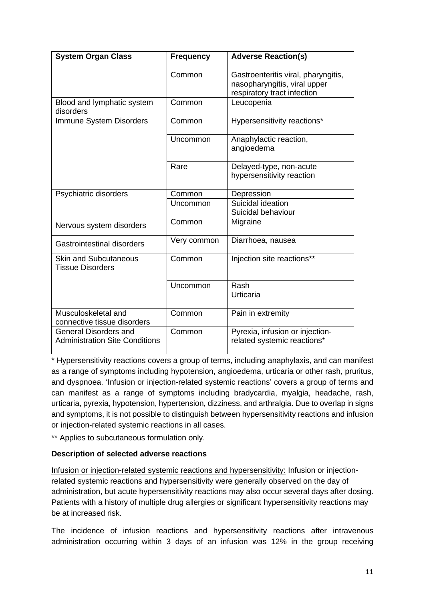| <b>System Organ Class</b>                                             | <b>Frequency</b> | <b>Adverse Reaction(s)</b>                                                                         |
|-----------------------------------------------------------------------|------------------|----------------------------------------------------------------------------------------------------|
|                                                                       | Common           | Gastroenteritis viral, pharyngitis,<br>nasopharyngitis, viral upper<br>respiratory tract infection |
| Blood and lymphatic system<br>disorders                               | Common           | Leucopenia                                                                                         |
| Immune System Disorders                                               | Common           | Hypersensitivity reactions*                                                                        |
|                                                                       | Uncommon         | Anaphylactic reaction,<br>angioedema                                                               |
|                                                                       | Rare             | Delayed-type, non-acute<br>hypersensitivity reaction                                               |
| Psychiatric disorders                                                 | Common           | Depression                                                                                         |
|                                                                       | Uncommon         | Suicidal ideation<br>Suicidal behaviour                                                            |
| Nervous system disorders                                              | Common           | Migraine                                                                                           |
| Gastrointestinal disorders                                            | Very common      | Diarrhoea, nausea                                                                                  |
| <b>Skin and Subcutaneous</b><br><b>Tissue Disorders</b>               | Common           | Injection site reactions**                                                                         |
|                                                                       | Uncommon         | Rash<br>Urticaria                                                                                  |
| Musculoskeletal and<br>connective tissue disorders                    | Common           | Pain in extremity                                                                                  |
| <b>General Disorders and</b><br><b>Administration Site Conditions</b> | Common           | Pyrexia, infusion or injection-<br>related systemic reactions*                                     |

\* Hypersensitivity reactions covers a group of terms, including anaphylaxis, and can manifest as a range of symptoms including hypotension, angioedema, urticaria or other rash, pruritus, and dyspnoea. 'Infusion or injection-related systemic reactions' covers a group of terms and can manifest as a range of symptoms including bradycardia, myalgia, headache, rash, urticaria, pyrexia, hypotension, hypertension, dizziness, and arthralgia. Due to overlap in signs and symptoms, it is not possible to distinguish between hypersensitivity reactions and infusion or injection-related systemic reactions in all cases.

\*\* Applies to subcutaneous formulation only.

## **Description of selected adverse reactions**

Infusion or injection-related systemic reactions and hypersensitivity: Infusion or injectionrelated systemic reactions and hypersensitivity were generally observed on the day of administration, but acute hypersensitivity reactions may also occur several days after dosing. Patients with a history of multiple drug allergies or significant hypersensitivity reactions may be at increased risk.

The incidence of infusion reactions and hypersensitivity reactions after intravenous administration occurring within 3 days of an infusion was 12% in the group receiving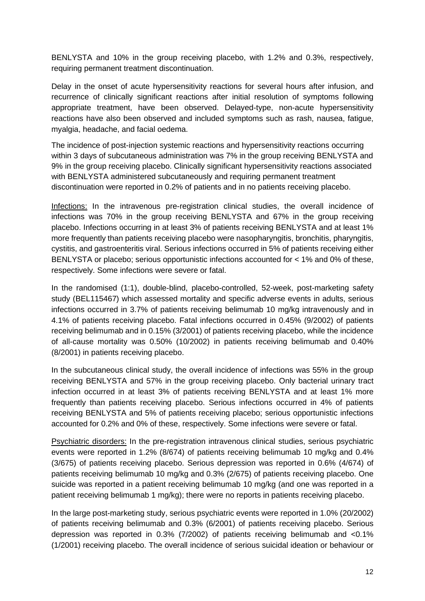BENLYSTA and 10% in the group receiving placebo, with 1.2% and 0.3%, respectively, requiring permanent treatment discontinuation.

Delay in the onset of acute hypersensitivity reactions for several hours after infusion, and recurrence of clinically significant reactions after initial resolution of symptoms following appropriate treatment, have been observed. Delayed-type, non-acute hypersensitivity reactions have also been observed and included symptoms such as rash, nausea, fatigue, myalgia, headache, and facial oedema.

The incidence of post-injection systemic reactions and hypersensitivity reactions occurring within 3 days of subcutaneous administration was 7% in the group receiving BENLYSTA and 9% in the group receiving placebo. Clinically significant hypersensitivity reactions associated with BENLYSTA administered subcutaneously and requiring permanent treatment discontinuation were reported in 0.2% of patients and in no patients receiving placebo.

Infections: In the intravenous pre-registration clinical studies, the overall incidence of infections was 70% in the group receiving BENLYSTA and 67% in the group receiving placebo. Infections occurring in at least 3% of patients receiving BENLYSTA and at least 1% more frequently than patients receiving placebo were nasopharyngitis, bronchitis, pharyngitis, cystitis, and gastroenteritis viral. Serious infections occurred in 5% of patients receiving either BENLYSTA or placebo; serious opportunistic infections accounted for < 1% and 0% of these, respectively. Some infections were severe or fatal.

In the randomised (1:1), double-blind, placebo-controlled, 52-week, post-marketing safety study (BEL115467) which assessed mortality and specific adverse events in adults, serious infections occurred in 3.7% of patients receiving belimumab 10 mg/kg intravenously and in 4.1% of patients receiving placebo. Fatal infections occurred in 0.45% (9/2002) of patients receiving belimumab and in 0.15% (3/2001) of patients receiving placebo, while the incidence of all-cause mortality was 0.50% (10/2002) in patients receiving belimumab and 0.40% (8/2001) in patients receiving placebo.

In the subcutaneous clinical study, the overall incidence of infections was 55% in the group receiving BENLYSTA and 57% in the group receiving placebo. Only bacterial urinary tract infection occurred in at least 3% of patients receiving BENLYSTA and at least 1% more frequently than patients receiving placebo. Serious infections occurred in 4% of patients receiving BENLYSTA and 5% of patients receiving placebo; serious opportunistic infections accounted for 0.2% and 0% of these, respectively. Some infections were severe or fatal.

Psychiatric disorders: In the pre-registration intravenous clinical studies, serious psychiatric events were reported in 1.2% (8/674) of patients receiving belimumab 10 mg/kg and 0.4% (3/675) of patients receiving placebo. Serious depression was reported in 0.6% (4/674) of patients receiving belimumab 10 mg/kg and 0.3% (2/675) of patients receiving placebo. One suicide was reported in a patient receiving belimumab 10 mg/kg (and one was reported in a patient receiving belimumab 1 mg/kg); there were no reports in patients receiving placebo.

In the large post-marketing study, serious psychiatric events were reported in 1.0% (20/2002) of patients receiving belimumab and 0.3% (6/2001) of patients receiving placebo. Serious depression was reported in 0.3% (7/2002) of patients receiving belimumab and <0.1% (1/2001) receiving placebo. The overall incidence of serious suicidal ideation or behaviour or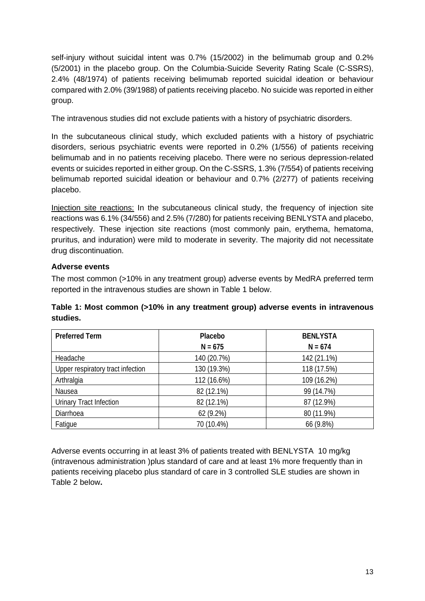self-injury without suicidal intent was 0.7% (15/2002) in the belimumab group and 0.2% (5/2001) in the placebo group. On the Columbia-Suicide Severity Rating Scale (C-SSRS), 2.4% (48/1974) of patients receiving belimumab reported suicidal ideation or behaviour compared with 2.0% (39/1988) of patients receiving placebo. No suicide was reported in either group.

The intravenous studies did not exclude patients with a history of psychiatric disorders.

In the subcutaneous clinical study, which excluded patients with a history of psychiatric disorders, serious psychiatric events were reported in 0.2% (1/556) of patients receiving belimumab and in no patients receiving placebo. There were no serious depression-related events or suicides reported in either group. On the C-SSRS, 1.3% (7/554) of patients receiving belimumab reported suicidal ideation or behaviour and 0.7% (2/277) of patients receiving placebo.

Injection site reactions: In the subcutaneous clinical study, the frequency of injection site reactions was 6.1% (34/556) and 2.5% (7/280) for patients receiving BENLYSTA and placebo, respectively. These injection site reactions (most commonly pain, erythema, hematoma, pruritus, and induration) were mild to moderate in severity. The majority did not necessitate drug discontinuation.

## **Adverse events**

The most common (>10% in any treatment group) adverse events by MedRA preferred term reported in the intravenous studies are shown in Table 1 below.

## **Table 1: Most common (>10% in any treatment group) adverse events in intravenous studies.**

| <b>Preferred Term</b>             | Placebo     | <b>BENLYSTA</b> |
|-----------------------------------|-------------|-----------------|
|                                   | $N = 675$   | $N = 674$       |
| Headache                          | 140 (20.7%) | 142 (21.1%)     |
| Upper respiratory tract infection | 130 (19.3%) | 118 (17.5%)     |
| Arthralgia                        | 112 (16.6%) | 109 (16.2%)     |
| Nausea                            | 82 (12.1%)  | 99 (14.7%)      |
| <b>Urinary Tract Infection</b>    | 82 (12.1%)  | 87 (12.9%)      |
| Diarrhoea                         | 62 (9.2%)   | 80 (11.9%)      |
| Fatigue                           | 70 (10.4%)  | 66 (9.8%)       |

Adverse events occurring in at least 3% of patients treated with BENLYSTA 10 mg/kg (intravenous administration )plus standard of care and at least 1% more frequently than in patients receiving placebo plus standard of care in 3 controlled SLE studies are shown in Table 2 below**.**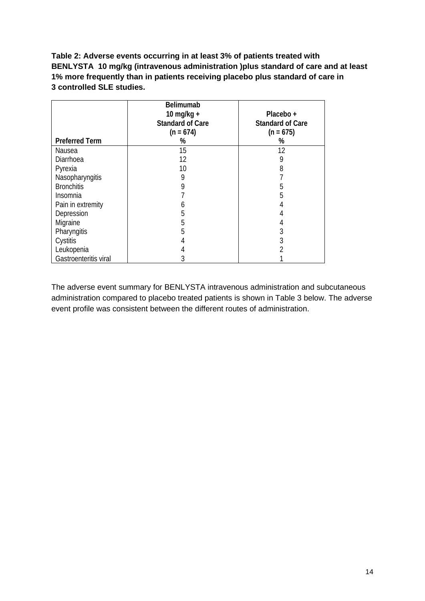**Table 2: Adverse events occurring in at least 3% of patients treated with BENLYSTA 10 mg/kg (intravenous administration )plus standard of care and at least 1% more frequently than in patients receiving placebo plus standard of care in 3 controlled SLE studies.**

|                       | <b>Belimumab</b><br>10 mg/kg $+$<br><b>Standard of Care</b><br>$(n = 674)$ | Placebo +<br><b>Standard of Care</b><br>$(n = 675)$ |
|-----------------------|----------------------------------------------------------------------------|-----------------------------------------------------|
| <b>Preferred Term</b> | %                                                                          | %                                                   |
| Nausea                | 15                                                                         | 12                                                  |
| Diarrhoea             | 12                                                                         | 9                                                   |
| Pyrexia               | 10                                                                         | 8                                                   |
| Nasopharyngitis       | 9                                                                          |                                                     |
| <b>Bronchitis</b>     | 9                                                                          | b                                                   |
| Insomnia              |                                                                            | 5                                                   |
| Pain in extremity     | b                                                                          |                                                     |
| Depression            | 5                                                                          |                                                     |
| Migraine              | 5                                                                          |                                                     |
| Pharyngitis           | 5                                                                          |                                                     |
| Cystitis              |                                                                            |                                                     |
| Leukopenia            |                                                                            |                                                     |
| Gastroenteritis viral | 3                                                                          |                                                     |

The adverse event summary for BENLYSTA intravenous administration and subcutaneous administration compared to placebo treated patients is shown in Table 3 below. The adverse event profile was consistent between the different routes of administration.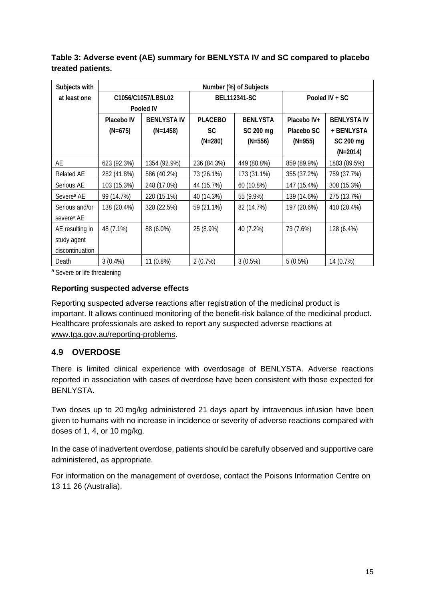| Subjects with          | Number (%) of Subjects |                    |                |                 |             |                    |  |
|------------------------|------------------------|--------------------|----------------|-----------------|-------------|--------------------|--|
| at least one           | C1056/C1057/LBSL02     |                    |                | BEL112341-SC    |             | Pooled IV + SC     |  |
|                        |                        | Pooled IV          |                |                 |             |                    |  |
|                        | Placebo IV             | <b>BENLYSTA IV</b> | <b>PLACEBO</b> | <b>BENLYSTA</b> | Placebo IV+ | <b>BENLYSTA IV</b> |  |
|                        | $(N=675)$              | $(N=1458)$         | <b>SC</b>      | SC 200 mg       | Placebo SC  | + BENLYSTA         |  |
|                        |                        |                    | $(N=280)$      | $(N=556)$       | $(N=955)$   | SC 200 mg          |  |
|                        |                        |                    |                |                 |             | $(N=2014)$         |  |
| AE                     | 623 (92.3%)            | 1354 (92.9%)       | 236 (84.3%)    | 449 (80.8%)     | 859 (89.9%) | 1803 (89.5%)       |  |
| <b>Related AE</b>      | 282 (41.8%)            | 586 (40.2%)        | 73 (26.1%)     | 173 (31.1%)     | 355 (37.2%) | 759 (37.7%)        |  |
| Serious AE             | 103 (15.3%)            | 248 (17.0%)        | 44 (15.7%)     | 60 (10.8%)      | 147 (15.4%) | 308 (15.3%)        |  |
| Severe <sup>a</sup> AE | 99 (14.7%)             | 220 (15.1%)        | 40 (14.3%)     | 55 (9.9%)       | 139 (14.6%) | 275 (13.7%)        |  |
| Serious and/or         | 138 (20.4%)            | 328 (22.5%)        | 59 (21.1%)     | 82 (14.7%)      | 197 (20.6%) | 410 (20.4%)        |  |
| severe <sup>a</sup> AE |                        |                    |                |                 |             |                    |  |
| AE resulting in        | 48 (7.1%)              | 88 (6.0%)          | 25 (8.9%)      | 40 (7.2%)       | 73 (7.6%)   | 128 (6.4%)         |  |
| study agent            |                        |                    |                |                 |             |                    |  |
| discontinuation        |                        |                    |                |                 |             |                    |  |
| Death                  | $3(0.4\%)$             | 11 (0.8%)          | 2(0.7%)        | 3(0.5%)         | 5(0.5%)     | 14 (0.7%)          |  |

**Table 3: Adverse event (AE) summary for BENLYSTA IV and SC compared to placebo treated patients.**

a Severe or life threatening

#### **Reporting suspected adverse effects**

Reporting suspected adverse reactions after registration of the medicinal product is important. It allows continued monitoring of the benefit-risk balance of the medicinal product. Healthcare professionals are asked to report any suspected adverse reactions at [www.tga.gov.au/reporting-problems.](http://www.tga.gov.au/reporting-problems)

# **4.9 OVERDOSE**

There is limited clinical experience with overdosage of BENLYSTA. Adverse reactions reported in association with cases of overdose have been consistent with those expected for BENLYSTA.

Two doses up to 20 mg/kg administered 21 days apart by intravenous infusion have been given to humans with no increase in incidence or severity of adverse reactions compared with doses of 1, 4, or 10 mg/kg.

In the case of inadvertent overdose, patients should be carefully observed and supportive care administered, as appropriate.

For information on the management of overdose, contact the Poisons Information Centre on 13 11 26 (Australia).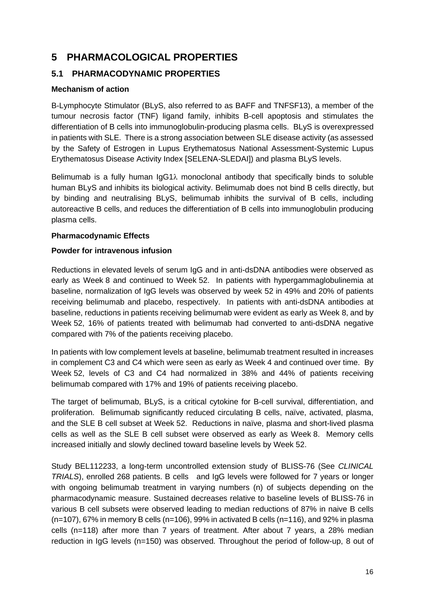# **5 PHARMACOLOGICAL PROPERTIES**

# **5.1 PHARMACODYNAMIC PROPERTIES**

## **Mechanism of action**

B-Lymphocyte Stimulator (BLyS, also referred to as BAFF and TNFSF13), a member of the tumour necrosis factor (TNF) ligand family, inhibits B-cell apoptosis and stimulates the differentiation of B cells into immunoglobulin-producing plasma cells. BLyS is overexpressed in patients with SLE. There is a strong association between SLE disease activity (as assessed by the Safety of Estrogen in Lupus Erythematosus National Assessment-Systemic Lupus Erythematosus Disease Activity Index [SELENA-SLEDAI]) and plasma BLyS levels.

Belimumab is a fully human IgG1λ monoclonal antibody that specifically binds to soluble human BLyS and inhibits its biological activity. Belimumab does not bind B cells directly, but by binding and neutralising BLyS, belimumab inhibits the survival of B cells, including autoreactive B cells, and reduces the differentiation of B cells into immunoglobulin producing plasma cells.

## **Pharmacodynamic Effects**

#### **Powder for intravenous infusion**

Reductions in elevated levels of serum IgG and in anti-dsDNA antibodies were observed as early as Week 8 and continued to Week 52. In patients with hypergammaglobulinemia at baseline, normalization of IgG levels was observed by week 52 in 49% and 20% of patients receiving belimumab and placebo, respectively. In patients with anti-dsDNA antibodies at baseline, reductions in patients receiving belimumab were evident as early as Week 8, and by Week 52, 16% of patients treated with belimumab had converted to anti-dsDNA negative compared with 7% of the patients receiving placebo.

In patients with low complement levels at baseline, belimumab treatment resulted in increases in complement C3 and C4 which were seen as early as Week 4 and continued over time. By Week 52, levels of C3 and C4 had normalized in 38% and 44% of patients receiving belimumab compared with 17% and 19% of patients receiving placebo.

The target of belimumab, BLyS, is a critical cytokine for B-cell survival, differentiation, and proliferation. Belimumab significantly reduced circulating B cells, naïve, activated, plasma, and the SLE B cell subset at Week 52. Reductions in naïve, plasma and short-lived plasma cells as well as the SLE B cell subset were observed as early as Week 8. Memory cells increased initially and slowly declined toward baseline levels by Week 52.

Study BEL112233, a long-term uncontrolled extension study of BLISS-76 (See *CLINICAL TRIALS*), enrolled 268 patients. B cells and IgG levels were followed for 7 years or longer with ongoing belimumab treatment in varying numbers (n) of subjects depending on the pharmacodynamic measure. Sustained decreases relative to baseline levels of BLISS-76 in various B cell subsets were observed leading to median reductions of 87% in naive B cells (n=107), 67% in memory B cells (n=106), 99% in activated B cells (n=116), and 92% in plasma cells (n=118) after more than 7 years of treatment. After about 7 years, a 28% median reduction in IgG levels (n=150) was observed. Throughout the period of follow-up, 8 out of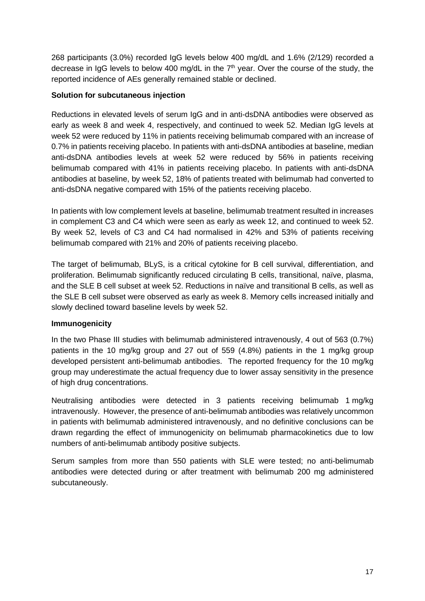268 participants (3.0%) recorded IgG levels below 400 mg/dL and 1.6% (2/129) recorded a decrease in IgG levels to below 400 mg/dL in the  $7<sup>th</sup>$  year. Over the course of the study, the reported incidence of AEs generally remained stable or declined.

#### **Solution for subcutaneous injection**

Reductions in elevated levels of serum IgG and in anti-dsDNA antibodies were observed as early as week 8 and week 4, respectively, and continued to week 52. Median IgG levels at week 52 were reduced by 11% in patients receiving belimumab compared with an increase of 0.7% in patients receiving placebo. In patients with anti-dsDNA antibodies at baseline, median anti-dsDNA antibodies levels at week 52 were reduced by 56% in patients receiving belimumab compared with 41% in patients receiving placebo. In patients with anti-dsDNA antibodies at baseline, by week 52, 18% of patients treated with belimumab had converted to anti-dsDNA negative compared with 15% of the patients receiving placebo.

In patients with low complement levels at baseline, belimumab treatment resulted in increases in complement C3 and C4 which were seen as early as week 12, and continued to week 52. By week 52, levels of C3 and C4 had normalised in 42% and 53% of patients receiving belimumab compared with 21% and 20% of patients receiving placebo.

The target of belimumab, BLyS, is a critical cytokine for B cell survival, differentiation, and proliferation. Belimumab significantly reduced circulating B cells, transitional, naïve, plasma, and the SLE B cell subset at week 52. Reductions in naïve and transitional B cells, as well as the SLE B cell subset were observed as early as week 8. Memory cells increased initially and slowly declined toward baseline levels by week 52.

## **Immunogenicity**

In the two Phase III studies with belimumab administered intravenously, 4 out of 563 (0.7%) patients in the 10 mg/kg group and 27 out of 559 (4.8%) patients in the 1 mg/kg group developed persistent anti-belimumab antibodies. The reported frequency for the 10 mg/kg group may underestimate the actual frequency due to lower assay sensitivity in the presence of high drug concentrations.

Neutralising antibodies were detected in 3 patients receiving belimumab 1 mg/kg intravenously. However, the presence of anti-belimumab antibodies was relatively uncommon in patients with belimumab administered intravenously, and no definitive conclusions can be drawn regarding the effect of immunogenicity on belimumab pharmacokinetics due to low numbers of anti-belimumab antibody positive subjects.

Serum samples from more than 550 patients with SLE were tested; no anti-belimumab antibodies were detected during or after treatment with belimumab 200 mg administered subcutaneously.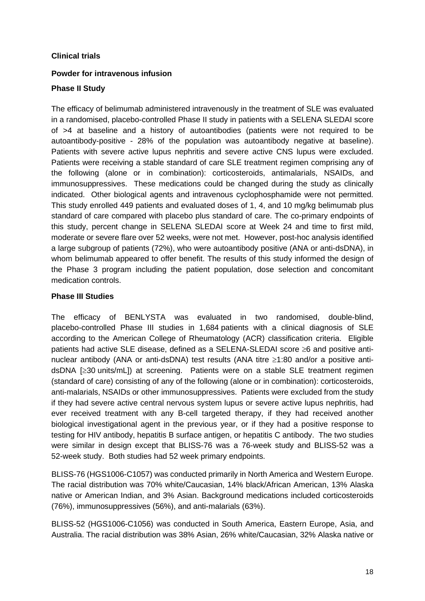#### **Clinical trials**

## **Powder for intravenous infusion**

#### **Phase II Study**

The efficacy of belimumab administered intravenously in the treatment of SLE was evaluated in a randomised, placebo-controlled Phase II study in patients with a SELENA SLEDAI score of >4 at baseline and a history of autoantibodies (patients were not required to be autoantibody-positive - 28% of the population was autoantibody negative at baseline). Patients with severe active lupus nephritis and severe active CNS lupus were excluded. Patients were receiving a stable standard of care SLE treatment regimen comprising any of the following (alone or in combination): corticosteroids, antimalarials, NSAIDs, and immunosuppressives. These medications could be changed during the study as clinically indicated. Other biological agents and intravenous cyclophosphamide were not permitted. This study enrolled 449 patients and evaluated doses of 1, 4, and 10 mg/kg belimumab plus standard of care compared with placebo plus standard of care. The co-primary endpoints of this study, percent change in SELENA SLEDAI score at Week 24 and time to first mild, moderate or severe flare over 52 weeks, were not met. However, post-hoc analysis identified a large subgroup of patients (72%), who were autoantibody positive (ANA or anti-dsDNA), in whom belimumab appeared to offer benefit. The results of this study informed the design of the Phase 3 program including the patient population, dose selection and concomitant medication controls.

#### **Phase III Studies**

The efficacy of BENLYSTA was evaluated in two randomised, double-blind, placebo-controlled Phase III studies in 1,684 patients with a clinical diagnosis of SLE according to the American College of Rheumatology (ACR) classification criteria. Eligible patients had active SLE disease, defined as a SELENA-SLEDAI score ≥6 and positive antinuclear antibody (ANA or anti-dsDNA) test results (ANA titre ≥1:80 and/or a positive antidsDNA [≥30 units/mL]) at screening. Patients were on a stable SLE treatment regimen (standard of care) consisting of any of the following (alone or in combination): corticosteroids, anti-malarials, NSAIDs or other immunosuppressives. Patients were excluded from the study if they had severe active central nervous system lupus or severe active lupus nephritis, had ever received treatment with any B-cell targeted therapy, if they had received another biological investigational agent in the previous year, or if they had a positive response to testing for HIV antibody, hepatitis B surface antigen, or hepatitis C antibody. The two studies were similar in design except that BLISS-76 was a 76-week study and BLISS-52 was a 52-week study. Both studies had 52 week primary endpoints.

BLISS-76 (HGS1006-C1057) was conducted primarily in North America and Western Europe. The racial distribution was 70% white/Caucasian, 14% black/African American, 13% Alaska native or American Indian, and 3% Asian. Background medications included corticosteroids (76%), immunosuppressives (56%), and anti-malarials (63%).

BLISS-52 (HGS1006-C1056) was conducted in South America, Eastern Europe, Asia, and Australia. The racial distribution was 38% Asian, 26% white/Caucasian, 32% Alaska native or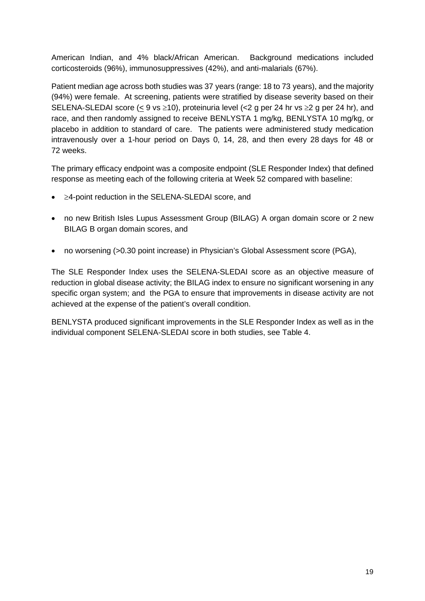American Indian, and 4% black/African American. Background medications included corticosteroids (96%), immunosuppressives (42%), and anti-malarials (67%).

Patient median age across both studies was 37 years (range: 18 to 73 years), and the majority (94%) were female. At screening, patients were stratified by disease severity based on their SELENA-SLEDAI score (< 9 vs  $\geq$ 10), proteinuria level (<2 g per 24 hr vs  $\geq$  g per 24 hr), and race, and then randomly assigned to receive BENLYSTA 1 mg/kg, BENLYSTA 10 mg/kg, or placebo in addition to standard of care. The patients were administered study medication intravenously over a 1-hour period on Days 0, 14, 28, and then every 28 days for 48 or 72 weeks.

The primary efficacy endpoint was a composite endpoint (SLE Responder Index) that defined response as meeting each of the following criteria at Week 52 compared with baseline:

- ≥4-point reduction in the SELENA-SLEDAI score, and
- no new British Isles Lupus Assessment Group (BILAG) A organ domain score or 2 new BILAG B organ domain scores, and
- no worsening (>0.30 point increase) in Physician's Global Assessment score (PGA),

The SLE Responder Index uses the SELENA-SLEDAI score as an objective measure of reduction in global disease activity; the BILAG index to ensure no significant worsening in any specific organ system; and the PGA to ensure that improvements in disease activity are not achieved at the expense of the patient's overall condition.

BENLYSTA produced significant improvements in the SLE Responder Index as well as in the individual component SELENA-SLEDAI score in both studies, see Table 4.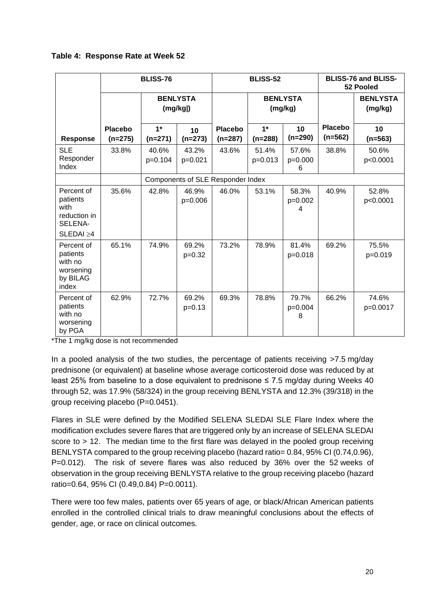|                                                                              |                             | <b>BLISS-76</b>   |                            |                                   | <b>BLISS-52</b>    |                            |                             | <b>BLISS-76 and BLISS-</b><br>52 Pooled |
|------------------------------------------------------------------------------|-----------------------------|-------------------|----------------------------|-----------------------------------|--------------------|----------------------------|-----------------------------|-----------------------------------------|
|                                                                              |                             |                   | <b>BENLYSTA</b><br>(mg/kg) |                                   |                    | <b>BENLYSTA</b><br>(mg/kg) |                             | <b>BENLYSTA</b><br>(mg/kg)              |
| Response                                                                     | <b>Placebo</b><br>$(n=275)$ | $1*$<br>$(n=271)$ | 10<br>$(n=273)$            | <b>Placebo</b><br>$(n=287)$       | $1*$<br>$(n=288)$  | 10<br>$(n=290)$            | <b>Placebo</b><br>$(n=562)$ | 10<br>$(n=563)$                         |
| <b>SLE</b><br>Responder<br>Index                                             | 33.8%                       | 40.6%<br>p=0.104  | 43.2%<br>p=0.021           | 43.6%                             | 51.4%<br>$p=0.013$ | 57.6%<br>p=0.000<br>6      | 38.8%                       | 50.6%<br>p<0.0001                       |
|                                                                              |                             |                   |                            | Components of SLE Responder Index |                    |                            |                             |                                         |
| Percent of<br>patients<br>with<br>reduction in<br>SELENA-<br>$SLEDAI \geq 4$ | 35.6%                       | 42.8%             | 46.9%<br>p=0.006           | 46.0%                             | 53.1%              | 58.3%<br>$p=0.002$<br>4    | 40.9%                       | 52.8%<br>p<0.0001                       |
| Percent of<br>patients<br>with no<br>worsening<br>by BILAG<br>index          | 65.1%                       | 74.9%             | 69.2%<br>$p=0.32$          | 73.2%                             | 78.9%              | 81.4%<br>$p=0.018$         | 69.2%                       | 75.5%<br>p=0.019                        |
| Percent of<br>patients<br>with no<br>worsening<br>by PGA                     | 62.9%                       | 72.7%             | 69.2%<br>$p=0.13$          | 69.3%                             | 78.8%              | 79.7%<br>p=0.004<br>8      | 66.2%                       | 74.6%<br>p=0.0017                       |

#### **Table 4: Response Rate at Week 52**

\*The 1 mg/kg dose is not recommended

In a pooled analysis of the two studies, the percentage of patients receiving >7.5 mg/day prednisone (or equivalent) at baseline whose average corticosteroid dose was reduced by at least 25% from baseline to a dose equivalent to prednisone ≤ 7.5 mg/day during Weeks 40 through 52, was 17.9% (58/324) in the group receiving BENLYSTA and 12.3% (39/318) in the group receiving placebo (P=0.0451).

Flares in SLE were defined by the Modified SELENA SLEDAI SLE Flare Index where the modification excludes severe flares that are triggered only by an increase of SELENA SLEDAI score to > 12. The median time to the first flare was delayed in the pooled group receiving BENLYSTA compared to the group receiving placebo (hazard ratio= 0.84, 95% CI (0.74,0.96), P=0.012). The risk of severe flares was also reduced by 36% over the 52 weeks of observation in the group receiving BENLYSTA relative to the group receiving placebo (hazard ratio=0.64, 95% CI (0.49,0.84) P=0.0011).

There were too few males, patients over 65 years of age, or black/African American patients enrolled in the controlled clinical trials to draw meaningful conclusions about the effects of gender, age, or race on clinical outcomes.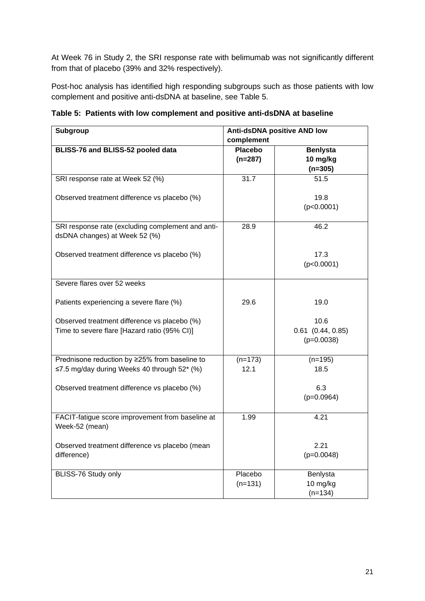At Week 76 in Study 2, the SRI response rate with belimumab was not significantly different from that of placebo (39% and 32% respectively).

Post-hoc analysis has identified high responding subgroups such as those patients with low complement and positive anti-dsDNA at baseline, see Table 5.

**Table 5: Patients with low complement and positive anti-dsDNA at baseline**

| Subgroup                                                                                     |                             | <b>Anti-dsDNA positive AND low</b>            |  |
|----------------------------------------------------------------------------------------------|-----------------------------|-----------------------------------------------|--|
|                                                                                              | complement                  |                                               |  |
| BLISS-76 and BLISS-52 pooled data                                                            | <b>Placebo</b><br>$(n=287)$ | <b>Benlysta</b><br>10 mg/kg<br>$(n=305)$      |  |
| SRI response rate at Week 52 (%)                                                             | 31.7                        | 51.5                                          |  |
| Observed treatment difference vs placebo (%)                                                 |                             | 19.8<br>(p<0.0001)                            |  |
| SRI response rate (excluding complement and anti-<br>dsDNA changes) at Week 52 (%)           | 28.9                        | 46.2                                          |  |
| Observed treatment difference vs placebo (%)                                                 |                             | 17.3<br>(p<0.0001)                            |  |
| Severe flares over 52 weeks                                                                  |                             |                                               |  |
| Patients experiencing a severe flare (%)                                                     | 29.6                        | 19.0                                          |  |
| Observed treatment difference vs placebo (%)<br>Time to severe flare [Hazard ratio (95% CI)] |                             | 10.6<br>$0.61$ $(0.44, 0.85)$<br>$(p=0.0038)$ |  |
| Prednisone reduction by ≥25% from baseline to<br>≤7.5 mg/day during Weeks 40 through 52* (%) | $(n=173)$<br>12.1           | $(n=195)$<br>18.5                             |  |
| Observed treatment difference vs placebo (%)                                                 |                             | 6.3<br>$(p=0.0964)$                           |  |
| FACIT-fatigue score improvement from baseline at<br>Week-52 (mean)                           | 1.99                        | 4.21                                          |  |
| Observed treatment difference vs placebo (mean<br>difference)                                |                             | 2.21<br>$(p=0.0048)$                          |  |
| BLISS-76 Study only                                                                          | Placebo<br>$(n=131)$        | Benlysta<br>10 mg/kg<br>$(n=134)$             |  |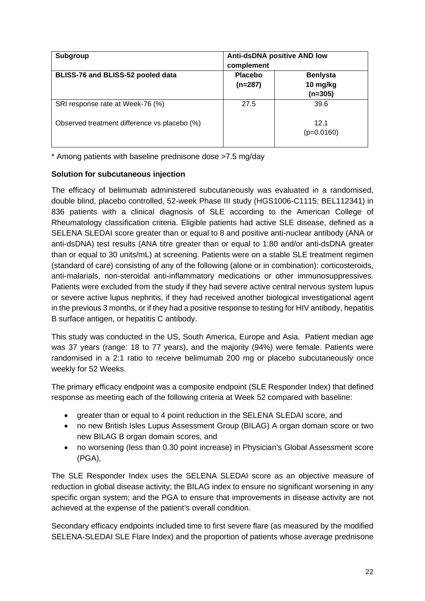| Subgroup                                     | <b>Anti-dsDNA positive AND low</b><br>complement |                                          |
|----------------------------------------------|--------------------------------------------------|------------------------------------------|
| BLISS-76 and BLISS-52 pooled data            | Placebo<br>$(n=287)$                             | <b>Benlysta</b><br>10 mg/kg<br>$(n=305)$ |
| SRI response rate at Week-76 (%)             | 27.5                                             | 39.6                                     |
| Observed treatment difference vs placebo (%) |                                                  | 12.1<br>$(p=0.0160)$                     |

\* Among patients with baseline prednisone dose >7.5 mg/day

## **Solution for subcutaneous injection**

The efficacy of belimumab administered subcutaneously was evaluated in a randomised, double blind, placebo controlled, 52-week Phase III study (HGS1006-C1115; BEL112341) in 836 patients with a clinical diagnosis of SLE according to the American College of Rheumatology classification criteria. Eligible patients had active SLE disease, defined as a SELENA SLEDAI score greater than or equal to 8 and positive anti-nuclear antibody (ANA or anti-dsDNA) test results (ANA titre greater than or equal to 1:80 and/or anti-dsDNA greater than or equal to 30 units/mL) at screening. Patients were on a stable SLE treatment regimen (standard of care) consisting of any of the following (alone or in combination): corticosteroids, anti-malarials, non-steroidal anti-inflammatory medications or other immunosuppressives. Patients were excluded from the study if they had severe active central nervous system lupus or severe active lupus nephritis, if they had received another biological investigational agent in the previous 3 months, or if they had a positive response to testing for HIV antibody, hepatitis B surface antigen, or hepatitis C antibody.

This study was conducted in the US, South America, Europe and Asia. Patient median age was 37 years (range: 18 to 77 years), and the majority (94%) were female. Patients were randomised in a 2:1 ratio to receive belimumab 200 mg or placebo subcutaneously once weekly for 52 Weeks.

The primary efficacy endpoint was a composite endpoint (SLE Responder Index) that defined response as meeting each of the following criteria at Week 52 compared with baseline:

- greater than or equal to 4 point reduction in the SELENA SLEDAI score, and
- no new British Isles Lupus Assessment Group (BILAG) A organ domain score or two new BILAG B organ domain scores, and
- no worsening (less than 0.30 point increase) in Physician's Global Assessment score (PGA),

The SLE Responder Index uses the SELENA SLEDAI score as an objective measure of reduction in global disease activity; the BILAG index to ensure no significant worsening in any specific organ system; and the PGA to ensure that improvements in disease activity are not achieved at the expense of the patient's overall condition.

Secondary efficacy endpoints included time to first severe flare (as measured by the modified SELENA-SLEDAI SLE Flare Index) and the proportion of patients whose average prednisone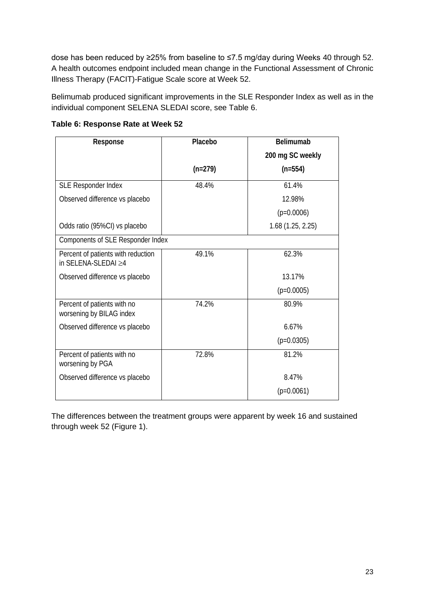dose has been reduced by ≥25% from baseline to ≤7.5 mg/day during Weeks 40 through 52. A health outcomes endpoint included mean change in the Functional Assessment of Chronic Illness Therapy (FACIT)-Fatigue Scale score at Week 52.

Belimumab produced significant improvements in the SLE Responder Index as well as in the individual component SELENA SLEDAI score, see Table 6.

| Response                                                        | Placebo   | <b>Belimumab</b>  |
|-----------------------------------------------------------------|-----------|-------------------|
|                                                                 |           | 200 mg SC weekly  |
|                                                                 | $(n=279)$ | $(n=554)$         |
| SLE Responder Index                                             | 48.4%     | 61.4%             |
| Observed difference vs placebo                                  |           | 12.98%            |
|                                                                 |           | $(p=0.0006)$      |
| Odds ratio (95%CI) vs placebo                                   |           | 1.68 (1.25, 2.25) |
| Components of SLE Responder Index                               |           |                   |
| Percent of patients with reduction<br>in SELENA-SLEDAI $\geq 4$ | 49.1%     | 62.3%             |
| Observed difference vs placebo                                  |           | 13.17%            |
|                                                                 |           | $(p=0.0005)$      |
| Percent of patients with no<br>worsening by BILAG index         | 74.2%     | 80.9%             |
| Observed difference vs placebo                                  |           | 6.67%             |
|                                                                 |           | $(p=0.0305)$      |
| Percent of patients with no<br>worsening by PGA                 | 72.8%     | 81.2%             |
| Observed difference vs placebo                                  |           | 8.47%             |
|                                                                 |           | $(p=0.0061)$      |

**Table 6: Response Rate at Week 52**

The differences between the treatment groups were apparent by week 16 and sustained through week 52 (Figure 1).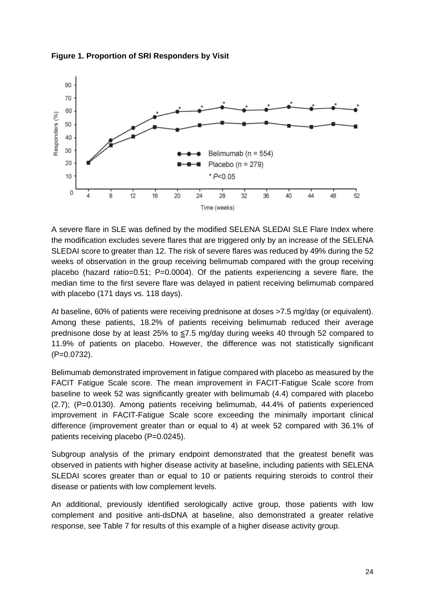

#### **Figure 1. Proportion of SRI Responders by Visit**

A severe flare in SLE was defined by the modified SELENA SLEDAI SLE Flare Index where the modification excludes severe flares that are triggered only by an increase of the SELENA SLEDAI score to greater than 12. The risk of severe flares was reduced by 49% during the 52 weeks of observation in the group receiving belimumab compared with the group receiving placebo (hazard ratio=0.51; P=0.0004). Of the patients experiencing a severe flare, the median time to the first severe flare was delayed in patient receiving belimumab compared with placebo (171 days vs. 118 days).

At baseline, 60% of patients were receiving prednisone at doses >7.5 mg/day (or equivalent). Among these patients, 18.2% of patients receiving belimumab reduced their average prednisone dose by at least 25% to ≤7.5 mg/day during weeks 40 through 52 compared to 11.9% of patients on placebo. However, the difference was not statistically significant (P=0.0732).

Belimumab demonstrated improvement in fatigue compared with placebo as measured by the FACIT Fatigue Scale score. The mean improvement in FACIT-Fatigue Scale score from baseline to week 52 was significantly greater with belimumab (4.4) compared with placebo (2.7); (P=0.0130). Among patients receiving belimumab, 44.4% of patients experienced improvement in FACIT-Fatigue Scale score exceeding the minimally important clinical difference (improvement greater than or equal to 4) at week 52 compared with 36.1% of patients receiving placebo (P=0.0245).

Subgroup analysis of the primary endpoint demonstrated that the greatest benefit was observed in patients with higher disease activity at baseline, including patients with SELENA SLEDAI scores greater than or equal to 10 or patients requiring steroids to control their disease or patients with low complement levels.

An additional, previously identified serologically active group, those patients with low complement and positive anti-dsDNA at baseline, also demonstrated a greater relative response, see Table 7 for results of this example of a higher disease activity group.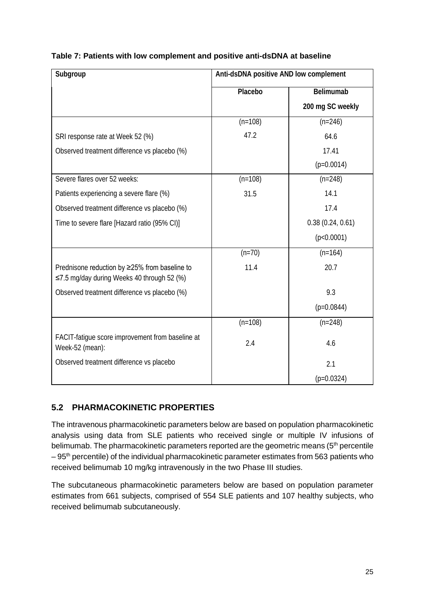|  | Table 7: Patients with low complement and positive anti-dsDNA at baseline |  |
|--|---------------------------------------------------------------------------|--|
|--|---------------------------------------------------------------------------|--|

| Subgroup                                                                                    | Anti-dsDNA positive AND low complement |                  |  |
|---------------------------------------------------------------------------------------------|----------------------------------------|------------------|--|
|                                                                                             | Placebo                                | Belimumab        |  |
|                                                                                             |                                        | 200 mg SC weekly |  |
|                                                                                             | $(n=108)$                              | $(n=246)$        |  |
| SRI response rate at Week 52 (%)                                                            | 47.2                                   | 64.6             |  |
| Observed treatment difference vs placebo (%)                                                |                                        | 17.41            |  |
|                                                                                             |                                        | $(p=0.0014)$     |  |
| Severe flares over 52 weeks:                                                                | $(n=108)$                              | $(n=248)$        |  |
| Patients experiencing a severe flare (%)                                                    | 31.5                                   | 14.1             |  |
| Observed treatment difference vs placebo (%)                                                |                                        | 17.4             |  |
| Time to severe flare [Hazard ratio (95% CI)]                                                |                                        | 0.38(0.24, 0.61) |  |
|                                                                                             |                                        | (p<0.0001)       |  |
|                                                                                             | $(n=70)$                               | $(n=164)$        |  |
| Prednisone reduction by ≥25% from baseline to<br>≤7.5 mg/day during Weeks 40 through 52 (%) | 11.4                                   | 20.7             |  |
| Observed treatment difference vs placebo (%)                                                |                                        | 9.3              |  |
|                                                                                             |                                        | $(p=0.0844)$     |  |
|                                                                                             | $(n=108)$                              | $(n=248)$        |  |
| FACIT-fatigue score improvement from baseline at<br>Week-52 (mean):                         | 2.4                                    | 4.6              |  |
| Observed treatment difference vs placebo                                                    |                                        | 2.1              |  |
|                                                                                             |                                        | $(p=0.0324)$     |  |

# **5.2 PHARMACOKINETIC PROPERTIES**

The intravenous pharmacokinetic parameters below are based on population pharmacokinetic analysis using data from SLE patients who received single or multiple IV infusions of belimumab. The pharmacokinetic parameters reported are the geometric means  $(5<sup>th</sup>$  percentile  $-95<sup>th</sup>$  percentile) of the individual pharmacokinetic parameter estimates from 563 patients who received belimumab 10 mg/kg intravenously in the two Phase III studies.

The subcutaneous pharmacokinetic parameters below are based on population parameter estimates from 661 subjects, comprised of 554 SLE patients and 107 healthy subjects, who received belimumab subcutaneously.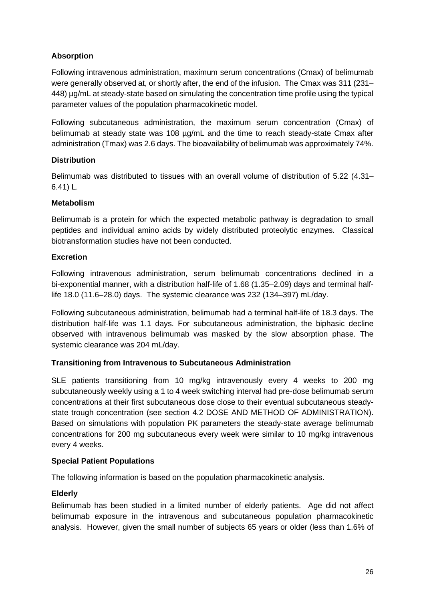## **Absorption**

Following intravenous administration, maximum serum concentrations (Cmax) of belimumab were generally observed at, or shortly after, the end of the infusion. The Cmax was 311 (231– 448) µg/mL at steady-state based on simulating the concentration time profile using the typical parameter values of the population pharmacokinetic model.

Following subcutaneous administration, the maximum serum concentration (Cmax) of belimumab at steady state was 108 ug/mL and the time to reach steady-state Cmax after administration (Tmax) was 2.6 days. The bioavailability of belimumab was approximately 74%.

#### **Distribution**

Belimumab was distributed to tissues with an overall volume of distribution of 5.22 (4.31– 6.41) L.

#### **Metabolism**

Belimumab is a protein for which the expected metabolic pathway is degradation to small peptides and individual amino acids by widely distributed proteolytic enzymes. Classical biotransformation studies have not been conducted.

#### **Excretion**

Following intravenous administration, serum belimumab concentrations declined in a bi-exponential manner, with a distribution half-life of 1.68 (1.35–2.09) days and terminal halflife 18.0 (11.6–28.0) days. The systemic clearance was 232 (134–397) mL/day.

Following subcutaneous administration, belimumab had a terminal half-life of 18.3 days. The distribution half-life was 1.1 days. For subcutaneous administration, the biphasic decline observed with intravenous belimumab was masked by the slow absorption phase. The systemic clearance was 204 mL/day.

## **Transitioning from Intravenous to Subcutaneous Administration**

SLE patients transitioning from 10 mg/kg intravenously every 4 weeks to 200 mg subcutaneously weekly using a 1 to 4 week switching interval had pre-dose belimumab serum concentrations at their first subcutaneous dose close to their eventual subcutaneous steadystate trough concentration (see section 4.2 DOSE AND METHOD OF ADMINISTRATION). Based on simulations with population PK parameters the steady-state average belimumab concentrations for 200 mg subcutaneous every week were similar to 10 mg/kg intravenous every 4 weeks.

#### **Special Patient Populations**

The following information is based on the population pharmacokinetic analysis.

## **Elderly**

Belimumab has been studied in a limited number of elderly patients. Age did not affect belimumab exposure in the intravenous and subcutaneous population pharmacokinetic analysis. However, given the small number of subjects 65 years or older (less than 1.6% of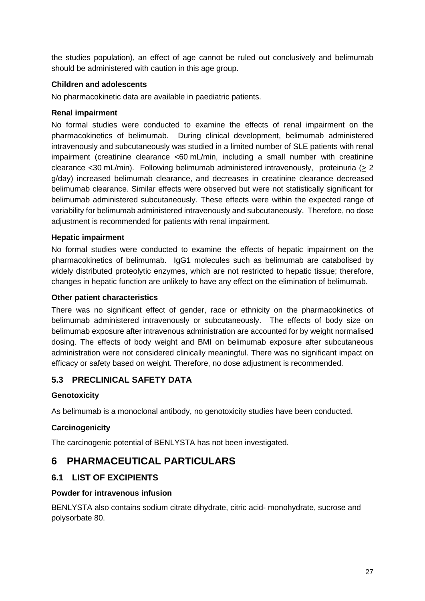the studies population), an effect of age cannot be ruled out conclusively and belimumab should be administered with caution in this age group.

### **Children and adolescents**

No pharmacokinetic data are available in paediatric patients.

#### **Renal impairment**

No formal studies were conducted to examine the effects of renal impairment on the pharmacokinetics of belimumab. During clinical development, belimumab administered intravenously and subcutaneously was studied in a limited number of SLE patients with renal impairment (creatinine clearance <60 mL/min, including a small number with creatinine clearance <30 mL/min). Following belimumab administered intravenously, proteinuria (> 2 g/day) increased belimumab clearance, and decreases in creatinine clearance decreased belimumab clearance. Similar effects were observed but were not statistically significant for belimumab administered subcutaneously. These effects were within the expected range of variability for belimumab administered intravenously and subcutaneously. Therefore, no dose adjustment is recommended for patients with renal impairment.

#### **Hepatic impairment**

No formal studies were conducted to examine the effects of hepatic impairment on the pharmacokinetics of belimumab. IgG1 molecules such as belimumab are catabolised by widely distributed proteolytic enzymes, which are not restricted to hepatic tissue; therefore, changes in hepatic function are unlikely to have any effect on the elimination of belimumab.

#### **Other patient characteristics**

There was no significant effect of gender, race or ethnicity on the pharmacokinetics of belimumab administered intravenously or subcutaneously. The effects of body size on belimumab exposure after intravenous administration are accounted for by weight normalised dosing. The effects of body weight and BMI on belimumab exposure after subcutaneous administration were not considered clinically meaningful. There was no significant impact on efficacy or safety based on weight. Therefore, no dose adjustment is recommended.

# **5.3 PRECLINICAL SAFETY DATA**

#### **Genotoxicity**

As belimumab is a monoclonal antibody, no genotoxicity studies have been conducted.

## **Carcinogenicity**

The carcinogenic potential of BENLYSTA has not been investigated.

# **6 PHARMACEUTICAL PARTICULARS**

## **6.1 LIST OF EXCIPIENTS**

#### **Powder for intravenous infusion**

BENLYSTA also contains sodium citrate dihydrate, citric acid- monohydrate, sucrose and polysorbate 80.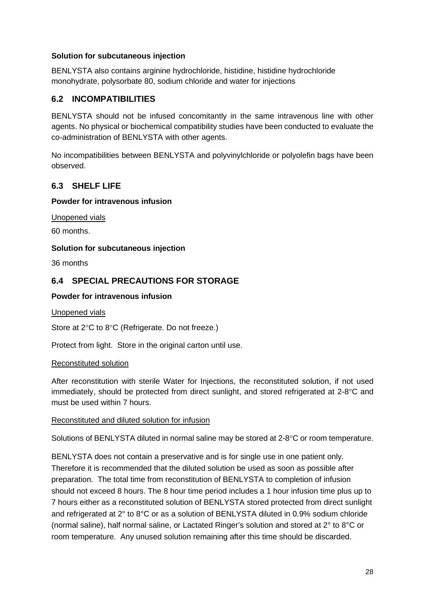### **Solution for subcutaneous injection**

BENLYSTA also contains arginine hydrochloride, histidine, histidine hydrochloride monohydrate, polysorbate 80, sodium chloride and water for injections

# **6.2 INCOMPATIBILITIES**

BENLYSTA should not be infused concomitantly in the same intravenous line with other agents. No physical or biochemical compatibility studies have been conducted to evaluate the co-administration of BENLYSTA with other agents.

No incompatibilities between BENLYSTA and polyvinylchloride or polyolefin bags have been observed.

# **6.3 SHELF LIFE**

#### **Powder for intravenous infusion**

Unopened vials

60 months.

#### **Solution for subcutaneous injection**

36 months

# **6.4 SPECIAL PRECAUTIONS FOR STORAGE**

#### **Powder for intravenous infusion**

Unopened vials

Store at 2°C to 8°C (Refrigerate. Do not freeze.)

Protect from light. Store in the original carton until use.

#### Reconstituted solution

After reconstitution with sterile Water for Injections, the reconstituted solution, if not used immediately, should be protected from direct sunlight, and stored refrigerated at 2-8°C and must be used within 7 hours.

#### Reconstituted and diluted solution for infusion

Solutions of BENLYSTA diluted in normal saline may be stored at 2-8°C or room temperature.

BENLYSTA does not contain a preservative and is for single use in one patient only. Therefore it is recommended that the diluted solution be used as soon as possible after preparation. The total time from reconstitution of BENLYSTA to completion of infusion should not exceed 8 hours. The 8 hour time period includes a 1 hour infusion time plus up to 7 hours either as a reconstituted solution of BENLYSTA stored protected from direct sunlight and refrigerated at 2° to 8°C or as a solution of BENLYSTA diluted in 0.9% sodium chloride (normal saline), half normal saline, or Lactated Ringer's solution and stored at 2° to 8°C or room temperature. Any unused solution remaining after this time should be discarded.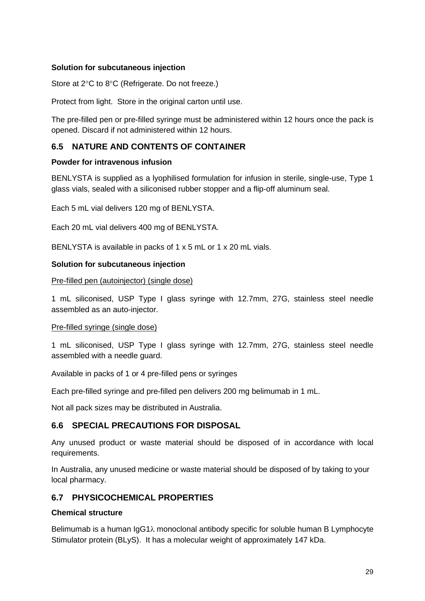### **Solution for subcutaneous injection**

Store at 2°C to 8°C (Refrigerate. Do not freeze.)

Protect from light. Store in the original carton until use.

The pre-filled pen or pre-filled syringe must be administered within 12 hours once the pack is opened. Discard if not administered within 12 hours.

# **6.5 NATURE AND CONTENTS OF CONTAINER**

#### **Powder for intravenous infusion**

BENLYSTA is supplied as a lyophilised formulation for infusion in sterile, single-use, Type 1 glass vials, sealed with a siliconised rubber stopper and a flip-off aluminum seal.

Each 5 mL vial delivers 120 mg of BENLYSTA.

Each 20 mL vial delivers 400 mg of BENLYSTA.

BENLYSTA is available in packs of 1 x 5 mL or 1 x 20 mL vials.

#### **Solution for subcutaneous injection**

#### Pre-filled pen (autoinjector) (single dose)

1 mL siliconised, USP Type I glass syringe with 12.7mm, 27G, stainless steel needle assembled as an auto-injector.

#### Pre-filled syringe (single dose)

1 mL siliconised, USP Type I glass syringe with 12.7mm, 27G, stainless steel needle assembled with a needle guard.

Available in packs of 1 or 4 pre-filled pens or syringes

Each pre-filled syringe and pre-filled pen delivers 200 mg belimumab in 1 mL.

Not all pack sizes may be distributed in Australia.

## **6.6 SPECIAL PRECAUTIONS FOR DISPOSAL**

Any unused product or waste material should be disposed of in accordance with local requirements.

In Australia, any unused medicine or waste material should be disposed of by taking to your local pharmacy.

## **6.7 PHYSICOCHEMICAL PROPERTIES**

#### **Chemical structure**

Belimumab is a human IgG1λ monoclonal antibody specific for soluble human B Lymphocyte Stimulator protein (BLyS). It has a molecular weight of approximately 147 kDa.